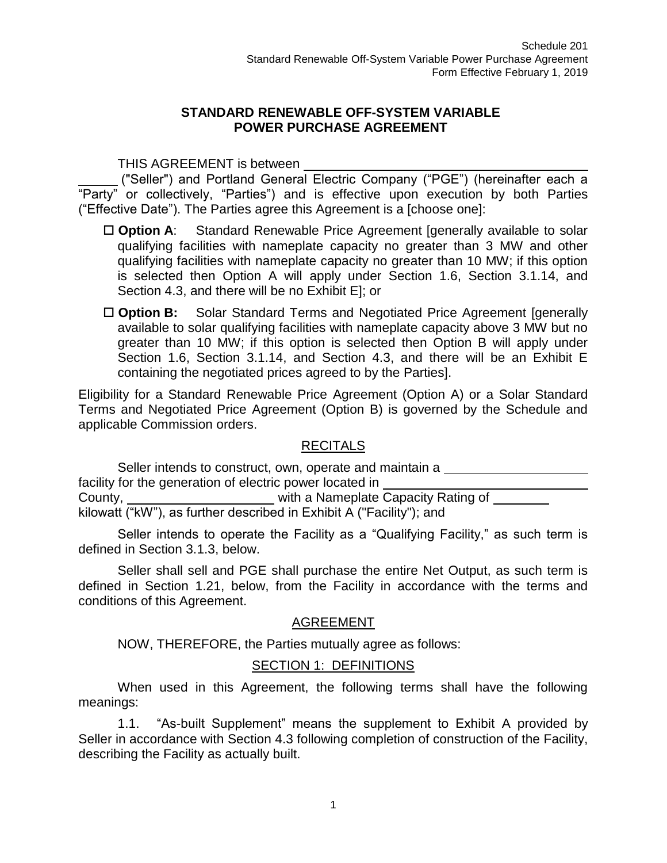#### **STANDARD RENEWABLE OFF-SYSTEM VARIABLE POWER PURCHASE AGREEMENT**

THIS AGREEMENT is between

("Seller") and Portland General Electric Company ("PGE") (hereinafter each a "Party" or collectively, "Parties") and is effective upon execution by both Parties ("Effective Date"). The Parties agree this Agreement is a [choose one]:

- □ Option A: Standard Renewable Price Agreement [generally available to solar qualifying facilities with nameplate capacity no greater than 3 MW and other qualifying facilities with nameplate capacity no greater than 10 MW; if this option is selected then Option A will apply under Section 1.6, Section 3.1.14, and Section 4.3, and there will be no Exhibit E]; or
- □ **Option B:** Solar Standard Terms and Negotiated Price Agreement [generally available to solar qualifying facilities with nameplate capacity above 3 MW but no greater than 10 MW; if this option is selected then Option B will apply under Section 1.6, Section 3.1.14, and Section 4.3, and there will be an Exhibit E containing the negotiated prices agreed to by the Parties].

Eligibility for a Standard Renewable Price Agreement (Option A) or a Solar Standard Terms and Negotiated Price Agreement (Option B) is governed by the Schedule and applicable Commission orders.

#### RECITALS

Seller intends to construct, own, operate and maintain a facility for the generation of electric power located in County, with a Nameplate Capacity Rating of kilowatt ("kW"), as further described in Exhibit A ("Facility"); and

Seller intends to operate the Facility as a "Qualifying Facility," as such term is defined in Section 3.1.3, below.

Seller shall sell and PGE shall purchase the entire Net Output, as such term is defined in Section 1.21, below, from the Facility in accordance with the terms and conditions of this Agreement.

# AGREEMENT

NOW, THEREFORE, the Parties mutually agree as follows:

#### SECTION 1: DEFINITIONS

When used in this Agreement, the following terms shall have the following meanings:

1.1. "As-built Supplement" means the supplement to Exhibit A provided by Seller in accordance with Section 4.3 following completion of construction of the Facility, describing the Facility as actually built.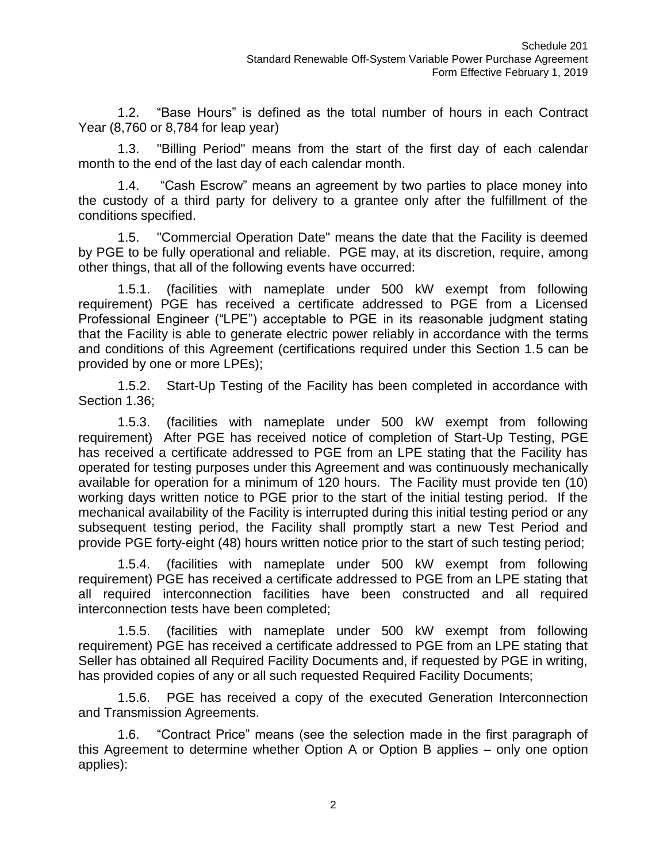1.2. "Base Hours" is defined as the total number of hours in each Contract Year (8,760 or 8,784 for leap year)

1.3. "Billing Period" means from the start of the first day of each calendar month to the end of the last day of each calendar month.

1.4. "Cash Escrow" means an agreement by two parties to place money into the custody of a third party for delivery to a grantee only after the fulfillment of the conditions specified.

1.5. "Commercial Operation Date" means the date that the Facility is deemed by PGE to be fully operational and reliable. PGE may, at its discretion, require, among other things, that all of the following events have occurred:

1.5.1. (facilities with nameplate under 500 kW exempt from following requirement) PGE has received a certificate addressed to PGE from a Licensed Professional Engineer ("LPE") acceptable to PGE in its reasonable judgment stating that the Facility is able to generate electric power reliably in accordance with the terms and conditions of this Agreement (certifications required under this Section 1.5 can be provided by one or more LPEs);

1.5.2. Start-Up Testing of the Facility has been completed in accordance with Section 1.36;

1.5.3. (facilities with nameplate under 500 kW exempt from following requirement) After PGE has received notice of completion of Start-Up Testing, PGE has received a certificate addressed to PGE from an LPE stating that the Facility has operated for testing purposes under this Agreement and was continuously mechanically available for operation for a minimum of 120 hours. The Facility must provide ten (10) working days written notice to PGE prior to the start of the initial testing period. If the mechanical availability of the Facility is interrupted during this initial testing period or any subsequent testing period, the Facility shall promptly start a new Test Period and provide PGE forty-eight (48) hours written notice prior to the start of such testing period;

1.5.4. (facilities with nameplate under 500 kW exempt from following requirement) PGE has received a certificate addressed to PGE from an LPE stating that all required interconnection facilities have been constructed and all required interconnection tests have been completed;

1.5.5. (facilities with nameplate under 500 kW exempt from following requirement) PGE has received a certificate addressed to PGE from an LPE stating that Seller has obtained all Required Facility Documents and, if requested by PGE in writing, has provided copies of any or all such requested Required Facility Documents;

1.5.6. PGE has received a copy of the executed Generation Interconnection and Transmission Agreements.

1.6. "Contract Price" means (see the selection made in the first paragraph of this Agreement to determine whether Option A or Option B applies – only one option applies):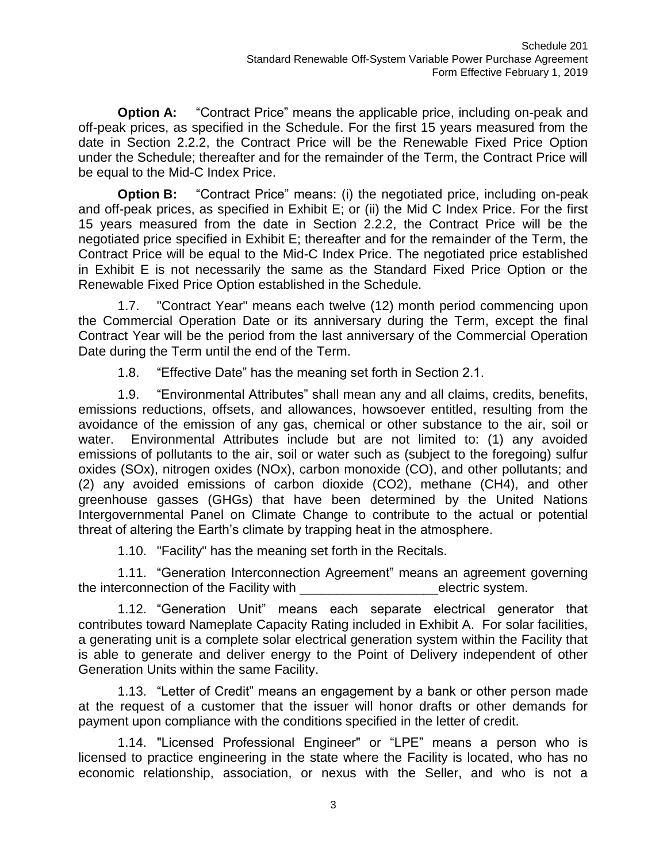**Option A:** "Contract Price" means the applicable price, including on-peak and off-peak prices, as specified in the Schedule. For the first 15 years measured from the date in Section 2.2.2, the Contract Price will be the Renewable Fixed Price Option under the Schedule; thereafter and for the remainder of the Term, the Contract Price will be equal to the Mid-C Index Price.

**Option B:** "Contract Price" means: (i) the negotiated price, including on-peak and off-peak prices, as specified in Exhibit E; or (ii) the Mid C Index Price. For the first 15 years measured from the date in Section 2.2.2, the Contract Price will be the negotiated price specified in Exhibit E; thereafter and for the remainder of the Term, the Contract Price will be equal to the Mid-C Index Price. The negotiated price established in Exhibit E is not necessarily the same as the Standard Fixed Price Option or the Renewable Fixed Price Option established in the Schedule.

1.7. "Contract Year" means each twelve (12) month period commencing upon the Commercial Operation Date or its anniversary during the Term, except the final Contract Year will be the period from the last anniversary of the Commercial Operation Date during the Term until the end of the Term.

1.8. "Effective Date" has the meaning set forth in Section 2.1.

1.9. "Environmental Attributes" shall mean any and all claims, credits, benefits, emissions reductions, offsets, and allowances, howsoever entitled, resulting from the avoidance of the emission of any gas, chemical or other substance to the air, soil or water. Environmental Attributes include but are not limited to: (1) any avoided emissions of pollutants to the air, soil or water such as (subject to the foregoing) sulfur oxides (SOx), nitrogen oxides (NOx), carbon monoxide (CO), and other pollutants; and (2) any avoided emissions of carbon dioxide (CO2), methane (CH4), and other greenhouse gasses (GHGs) that have been determined by the United Nations Intergovernmental Panel on Climate Change to contribute to the actual or potential threat of altering the Earth's climate by trapping heat in the atmosphere.

1.10. "Facility" has the meaning set forth in the Recitals.

1.11. "Generation Interconnection Agreement" means an agreement governing the interconnection of the Facility with **EXACTER** electric system.

1.12. "Generation Unit" means each separate electrical generator that contributes toward Nameplate Capacity Rating included in Exhibit A. For solar facilities, a generating unit is a complete solar electrical generation system within the Facility that is able to generate and deliver energy to the Point of Delivery independent of other Generation Units within the same Facility.

1.13. "Letter of Credit" means an engagement by a bank or other person made at the request of a customer that the issuer will honor drafts or other demands for payment upon compliance with the conditions specified in the letter of credit.

1.14. "Licensed Professional Engineer" or "LPE" means a person who is licensed to practice engineering in the state where the Facility is located, who has no economic relationship, association, or nexus with the Seller, and who is not a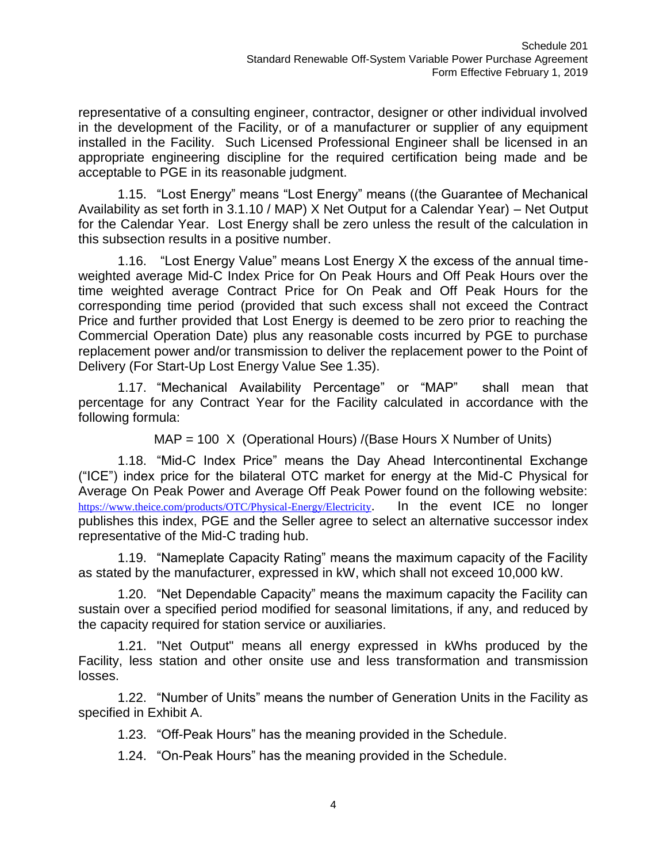representative of a consulting engineer, contractor, designer or other individual involved in the development of the Facility, or of a manufacturer or supplier of any equipment installed in the Facility. Such Licensed Professional Engineer shall be licensed in an appropriate engineering discipline for the required certification being made and be acceptable to PGE in its reasonable judgment.

1.15. "Lost Energy" means "Lost Energy" means ((the Guarantee of Mechanical Availability as set forth in 3.1.10 / MAP) X Net Output for a Calendar Year) – Net Output for the Calendar Year. Lost Energy shall be zero unless the result of the calculation in this subsection results in a positive number.

1.16. "Lost Energy Value" means Lost Energy X the excess of the annual timeweighted average Mid-C Index Price for On Peak Hours and Off Peak Hours over the time weighted average Contract Price for On Peak and Off Peak Hours for the corresponding time period (provided that such excess shall not exceed the Contract Price and further provided that Lost Energy is deemed to be zero prior to reaching the Commercial Operation Date) plus any reasonable costs incurred by PGE to purchase replacement power and/or transmission to deliver the replacement power to the Point of Delivery (For Start-Up Lost Energy Value See 1.35).

1.17. "Mechanical Availability Percentage" or "MAP" shall mean that percentage for any Contract Year for the Facility calculated in accordance with the following formula:

MAP = 100 X (Operational Hours) /(Base Hours X Number of Units)

1.18. "Mid-C Index Price" means the Day Ahead Intercontinental Exchange ("ICE") index price for the bilateral OTC market for energy at the Mid-C Physical for Average On Peak Power and Average Off Peak Power found on the following website: <https://www.theice.com/products/OTC/Physical-Energy/Electricity>. In the event ICE no longer publishes this index, PGE and the Seller agree to select an alternative successor index representative of the Mid-C trading hub.

1.19. "Nameplate Capacity Rating" means the maximum capacity of the Facility as stated by the manufacturer, expressed in kW, which shall not exceed 10,000 kW.

1.20. "Net Dependable Capacity" means the maximum capacity the Facility can sustain over a specified period modified for seasonal limitations, if any, and reduced by the capacity required for station service or auxiliaries.

1.21. "Net Output" means all energy expressed in kWhs produced by the Facility, less station and other onsite use and less transformation and transmission losses.

1.22. "Number of Units" means the number of Generation Units in the Facility as specified in Exhibit A.

1.23. "Off-Peak Hours" has the meaning provided in the Schedule.

1.24. "On-Peak Hours" has the meaning provided in the Schedule.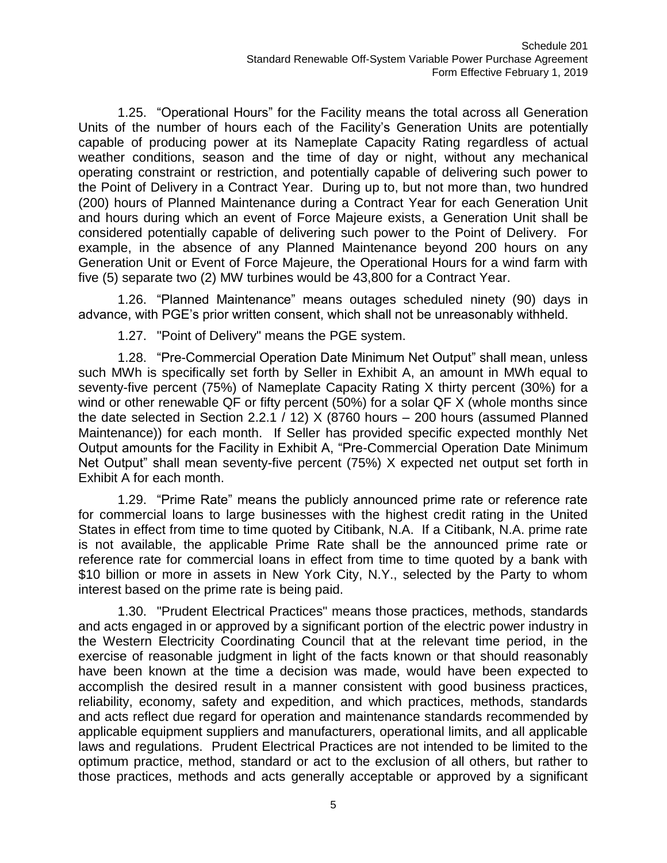1.25. "Operational Hours" for the Facility means the total across all Generation Units of the number of hours each of the Facility's Generation Units are potentially capable of producing power at its Nameplate Capacity Rating regardless of actual weather conditions, season and the time of day or night, without any mechanical operating constraint or restriction, and potentially capable of delivering such power to the Point of Delivery in a Contract Year. During up to, but not more than, two hundred (200) hours of Planned Maintenance during a Contract Year for each Generation Unit and hours during which an event of Force Majeure exists, a Generation Unit shall be considered potentially capable of delivering such power to the Point of Delivery. For example, in the absence of any Planned Maintenance beyond 200 hours on any Generation Unit or Event of Force Majeure, the Operational Hours for a wind farm with five (5) separate two (2) MW turbines would be 43,800 for a Contract Year.

1.26. "Planned Maintenance" means outages scheduled ninety (90) days in advance, with PGE's prior written consent, which shall not be unreasonably withheld.

1.27. "Point of Delivery" means the PGE system.

1.28. "Pre-Commercial Operation Date Minimum Net Output" shall mean, unless such MWh is specifically set forth by Seller in Exhibit A, an amount in MWh equal to seventy-five percent (75%) of Nameplate Capacity Rating X thirty percent (30%) for a wind or other renewable QF or fifty percent (50%) for a solar QF X (whole months since the date selected in Section 2.2.1 / 12) X (8760 hours – 200 hours (assumed Planned Maintenance)) for each month. If Seller has provided specific expected monthly Net Output amounts for the Facility in Exhibit A, "Pre-Commercial Operation Date Minimum Net Output" shall mean seventy-five percent (75%) X expected net output set forth in Exhibit A for each month.

1.29. "Prime Rate" means the publicly announced prime rate or reference rate for commercial loans to large businesses with the highest credit rating in the United States in effect from time to time quoted by Citibank, N.A. If a Citibank, N.A. prime rate is not available, the applicable Prime Rate shall be the announced prime rate or reference rate for commercial loans in effect from time to time quoted by a bank with \$10 billion or more in assets in New York City, N.Y., selected by the Party to whom interest based on the prime rate is being paid.

1.30. "Prudent Electrical Practices" means those practices, methods, standards and acts engaged in or approved by a significant portion of the electric power industry in the Western Electricity Coordinating Council that at the relevant time period, in the exercise of reasonable judgment in light of the facts known or that should reasonably have been known at the time a decision was made, would have been expected to accomplish the desired result in a manner consistent with good business practices, reliability, economy, safety and expedition, and which practices, methods, standards and acts reflect due regard for operation and maintenance standards recommended by applicable equipment suppliers and manufacturers, operational limits, and all applicable laws and regulations. Prudent Electrical Practices are not intended to be limited to the optimum practice, method, standard or act to the exclusion of all others, but rather to those practices, methods and acts generally acceptable or approved by a significant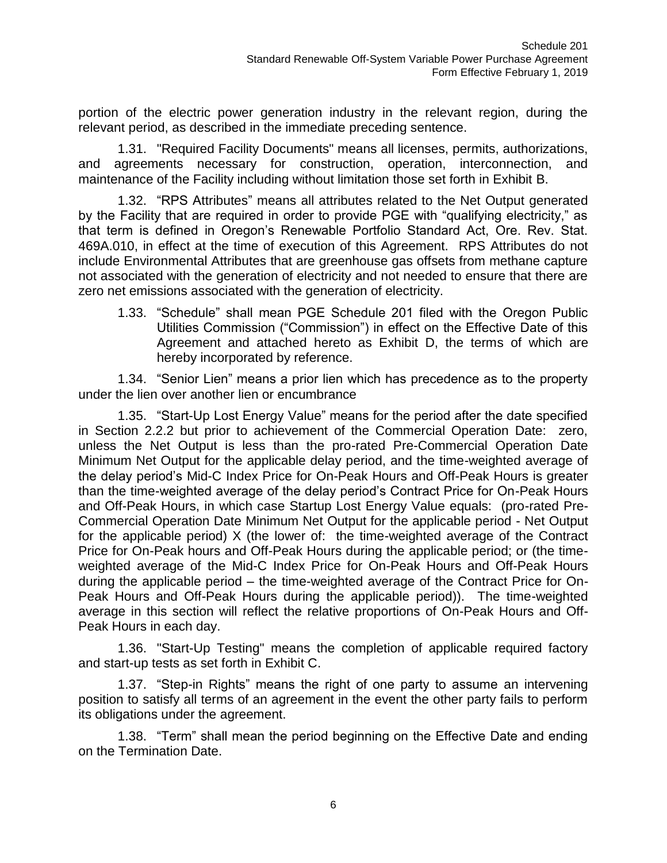portion of the electric power generation industry in the relevant region, during the relevant period, as described in the immediate preceding sentence.

1.31. "Required Facility Documents" means all licenses, permits, authorizations, and agreements necessary for construction, operation, interconnection, and maintenance of the Facility including without limitation those set forth in Exhibit B.

1.32. "RPS Attributes" means all attributes related to the Net Output generated by the Facility that are required in order to provide PGE with "qualifying electricity," as that term is defined in Oregon's Renewable Portfolio Standard Act, Ore. Rev. Stat. 469A.010, in effect at the time of execution of this Agreement. RPS Attributes do not include Environmental Attributes that are greenhouse gas offsets from methane capture not associated with the generation of electricity and not needed to ensure that there are zero net emissions associated with the generation of electricity.

1.33. "Schedule" shall mean PGE Schedule 201 filed with the Oregon Public Utilities Commission ("Commission") in effect on the Effective Date of this Agreement and attached hereto as Exhibit D, the terms of which are hereby incorporated by reference.

1.34. "Senior Lien" means a prior lien which has precedence as to the property under the lien over another lien or encumbrance

1.35. "Start-Up Lost Energy Value" means for the period after the date specified in Section 2.2.2 but prior to achievement of the Commercial Operation Date: zero, unless the Net Output is less than the pro-rated Pre-Commercial Operation Date Minimum Net Output for the applicable delay period, and the time-weighted average of the delay period's Mid-C Index Price for On-Peak Hours and Off-Peak Hours is greater than the time-weighted average of the delay period's Contract Price for On-Peak Hours and Off-Peak Hours, in which case Startup Lost Energy Value equals: (pro-rated Pre-Commercial Operation Date Minimum Net Output for the applicable period - Net Output for the applicable period) X (the lower of: the time-weighted average of the Contract Price for On-Peak hours and Off-Peak Hours during the applicable period; or (the timeweighted average of the Mid-C Index Price for On-Peak Hours and Off-Peak Hours during the applicable period – the time-weighted average of the Contract Price for On-Peak Hours and Off-Peak Hours during the applicable period)). The time-weighted average in this section will reflect the relative proportions of On-Peak Hours and Off-Peak Hours in each day.

1.36. "Start-Up Testing" means the completion of applicable required factory and start-up tests as set forth in Exhibit C.

1.37. "Step-in Rights" means the right of one party to assume an intervening position to satisfy all terms of an agreement in the event the other party fails to perform its obligations under the agreement.

1.38. "Term" shall mean the period beginning on the Effective Date and ending on the Termination Date.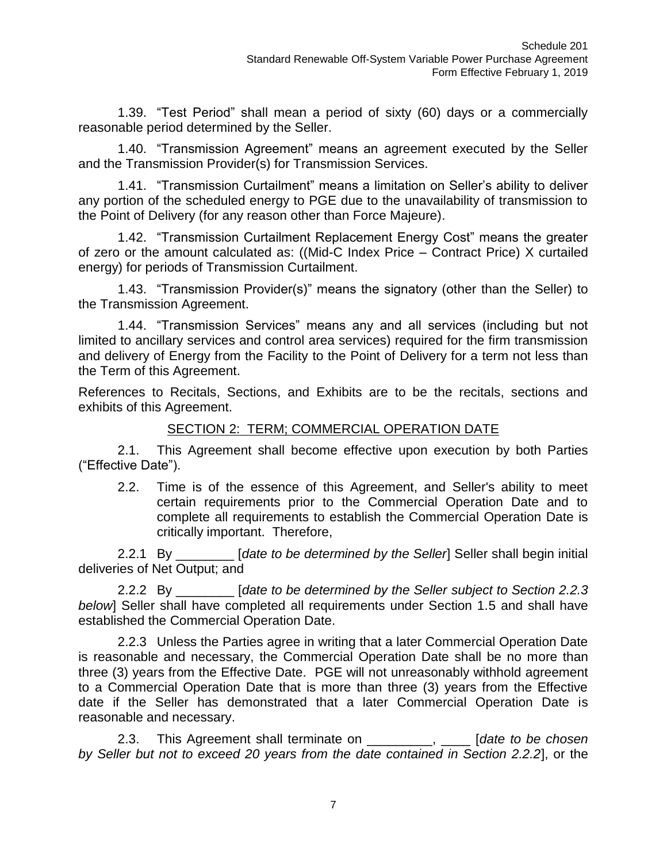1.39. "Test Period" shall mean a period of sixty (60) days or a commercially reasonable period determined by the Seller.

1.40. "Transmission Agreement" means an agreement executed by the Seller and the Transmission Provider(s) for Transmission Services.

1.41. "Transmission Curtailment" means a limitation on Seller's ability to deliver any portion of the scheduled energy to PGE due to the unavailability of transmission to the Point of Delivery (for any reason other than Force Majeure).

1.42. "Transmission Curtailment Replacement Energy Cost" means the greater of zero or the amount calculated as: ((Mid-C Index Price – Contract Price) X curtailed energy) for periods of Transmission Curtailment.

1.43. "Transmission Provider(s)" means the signatory (other than the Seller) to the Transmission Agreement.

1.44. "Transmission Services" means any and all services (including but not limited to ancillary services and control area services) required for the firm transmission and delivery of Energy from the Facility to the Point of Delivery for a term not less than the Term of this Agreement.

References to Recitals, Sections, and Exhibits are to be the recitals, sections and exhibits of this Agreement.

#### SECTION 2: TERM; COMMERCIAL OPERATION DATE

2.1. This Agreement shall become effective upon execution by both Parties ("Effective Date").

2.2. Time is of the essence of this Agreement, and Seller's ability to meet certain requirements prior to the Commercial Operation Date and to complete all requirements to establish the Commercial Operation Date is critically important. Therefore,

2.2.1 By \_\_\_\_\_\_\_\_ [*date to be determined by the Seller*] Seller shall begin initial deliveries of Net Output; and

2.2.2 By \_\_\_\_\_\_\_\_ [*date to be determined by the Seller subject to Section 2.2.3 below*] Seller shall have completed all requirements under Section 1.5 and shall have established the Commercial Operation Date.

2.2.3 Unless the Parties agree in writing that a later Commercial Operation Date is reasonable and necessary, the Commercial Operation Date shall be no more than three (3) years from the Effective Date. PGE will not unreasonably withhold agreement to a Commercial Operation Date that is more than three (3) years from the Effective date if the Seller has demonstrated that a later Commercial Operation Date is reasonable and necessary.

2.3. This Agreement shall terminate on \_\_\_\_\_\_\_\_\_, \_\_\_\_ [*date to be chosen by Seller but not to exceed 20 years from the date contained in Section 2.2.2*], or the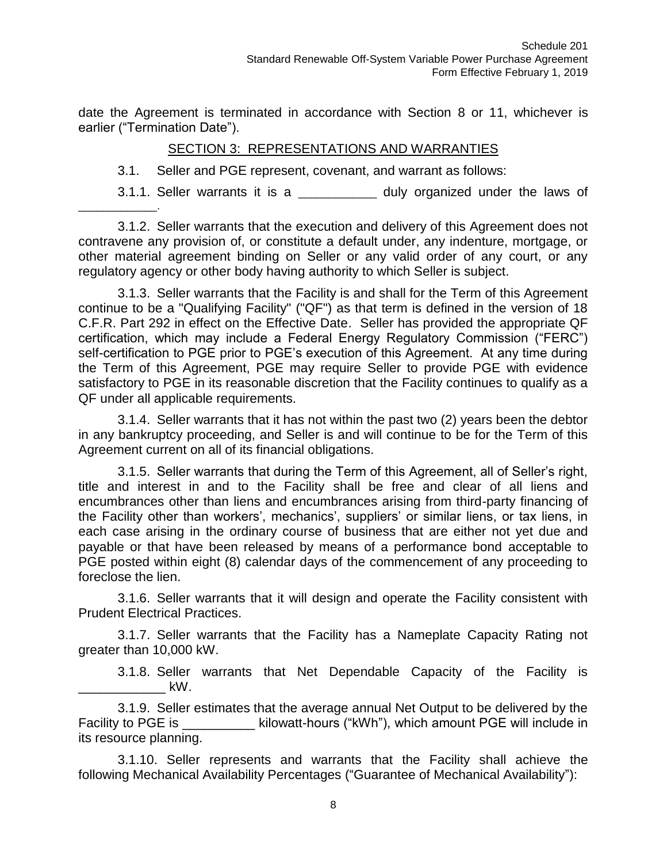date the Agreement is terminated in accordance with Section 8 or 11, whichever is earlier ("Termination Date").

#### SECTION 3: REPRESENTATIONS AND WARRANTIES

3.1. Seller and PGE represent, covenant, and warrant as follows:

\_\_\_\_\_\_\_\_\_\_\_\_\_.

3.1.1. Seller warrants it is a \_\_\_\_\_\_\_\_\_\_\_ duly organized under the laws of

3.1.2. Seller warrants that the execution and delivery of this Agreement does not contravene any provision of, or constitute a default under, any indenture, mortgage, or other material agreement binding on Seller or any valid order of any court, or any regulatory agency or other body having authority to which Seller is subject.

3.1.3. Seller warrants that the Facility is and shall for the Term of this Agreement continue to be a "Qualifying Facility" ("QF") as that term is defined in the version of 18 C.F.R. Part 292 in effect on the Effective Date. Seller has provided the appropriate QF certification, which may include a Federal Energy Regulatory Commission ("FERC") self-certification to PGE prior to PGE's execution of this Agreement. At any time during the Term of this Agreement, PGE may require Seller to provide PGE with evidence satisfactory to PGE in its reasonable discretion that the Facility continues to qualify as a QF under all applicable requirements.

3.1.4. Seller warrants that it has not within the past two (2) years been the debtor in any bankruptcy proceeding, and Seller is and will continue to be for the Term of this Agreement current on all of its financial obligations.

3.1.5. Seller warrants that during the Term of this Agreement, all of Seller's right, title and interest in and to the Facility shall be free and clear of all liens and encumbrances other than liens and encumbrances arising from third-party financing of the Facility other than workers', mechanics', suppliers' or similar liens, or tax liens, in each case arising in the ordinary course of business that are either not yet due and payable or that have been released by means of a performance bond acceptable to PGE posted within eight (8) calendar days of the commencement of any proceeding to foreclose the lien.

3.1.6. Seller warrants that it will design and operate the Facility consistent with Prudent Electrical Practices.

3.1.7. Seller warrants that the Facility has a Nameplate Capacity Rating not greater than 10,000 kW.

3.1.8. Seller warrants that Net Dependable Capacity of the Facility is  $\mathsf{kW}.$ 

3.1.9. Seller estimates that the average annual Net Output to be delivered by the Facility to PGE is \_\_\_\_\_\_\_\_\_\_\_\_ kilowatt-hours ("kWh"), which amount PGE will include in its resource planning.

3.1.10. Seller represents and warrants that the Facility shall achieve the following Mechanical Availability Percentages ("Guarantee of Mechanical Availability"):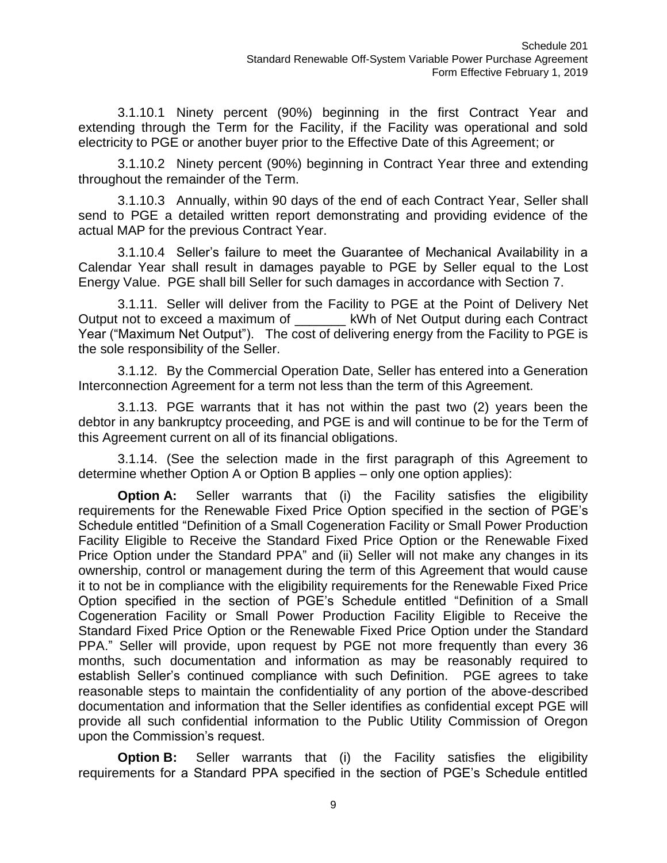3.1.10.1 Ninety percent (90%) beginning in the first Contract Year and extending through the Term for the Facility, if the Facility was operational and sold electricity to PGE or another buyer prior to the Effective Date of this Agreement; or

3.1.10.2 Ninety percent (90%) beginning in Contract Year three and extending throughout the remainder of the Term.

3.1.10.3 Annually, within 90 days of the end of each Contract Year, Seller shall send to PGE a detailed written report demonstrating and providing evidence of the actual MAP for the previous Contract Year.

3.1.10.4 Seller's failure to meet the Guarantee of Mechanical Availability in a Calendar Year shall result in damages payable to PGE by Seller equal to the Lost Energy Value. PGE shall bill Seller for such damages in accordance with Section 7.

3.1.11. Seller will deliver from the Facility to PGE at the Point of Delivery Net Output not to exceed a maximum of **Example 18 KWh of Net Output during each Contract** Year ("Maximum Net Output"). The cost of delivering energy from the Facility to PGE is the sole responsibility of the Seller.

3.1.12. By the Commercial Operation Date, Seller has entered into a Generation Interconnection Agreement for a term not less than the term of this Agreement.

3.1.13. PGE warrants that it has not within the past two (2) years been the debtor in any bankruptcy proceeding, and PGE is and will continue to be for the Term of this Agreement current on all of its financial obligations.

3.1.14. (See the selection made in the first paragraph of this Agreement to determine whether Option A or Option B applies – only one option applies):

**Option A:** Seller warrants that (i) the Facility satisfies the eligibility requirements for the Renewable Fixed Price Option specified in the section of PGE's Schedule entitled "Definition of a Small Cogeneration Facility or Small Power Production Facility Eligible to Receive the Standard Fixed Price Option or the Renewable Fixed Price Option under the Standard PPA" and (ii) Seller will not make any changes in its ownership, control or management during the term of this Agreement that would cause it to not be in compliance with the eligibility requirements for the Renewable Fixed Price Option specified in the section of PGE's Schedule entitled "Definition of a Small Cogeneration Facility or Small Power Production Facility Eligible to Receive the Standard Fixed Price Option or the Renewable Fixed Price Option under the Standard PPA." Seller will provide, upon request by PGE not more frequently than every 36 months, such documentation and information as may be reasonably required to establish Seller's continued compliance with such Definition. PGE agrees to take reasonable steps to maintain the confidentiality of any portion of the above-described documentation and information that the Seller identifies as confidential except PGE will provide all such confidential information to the Public Utility Commission of Oregon upon the Commission's request.

**Option B:** Seller warrants that (i) the Facility satisfies the eligibility requirements for a Standard PPA specified in the section of PGE's Schedule entitled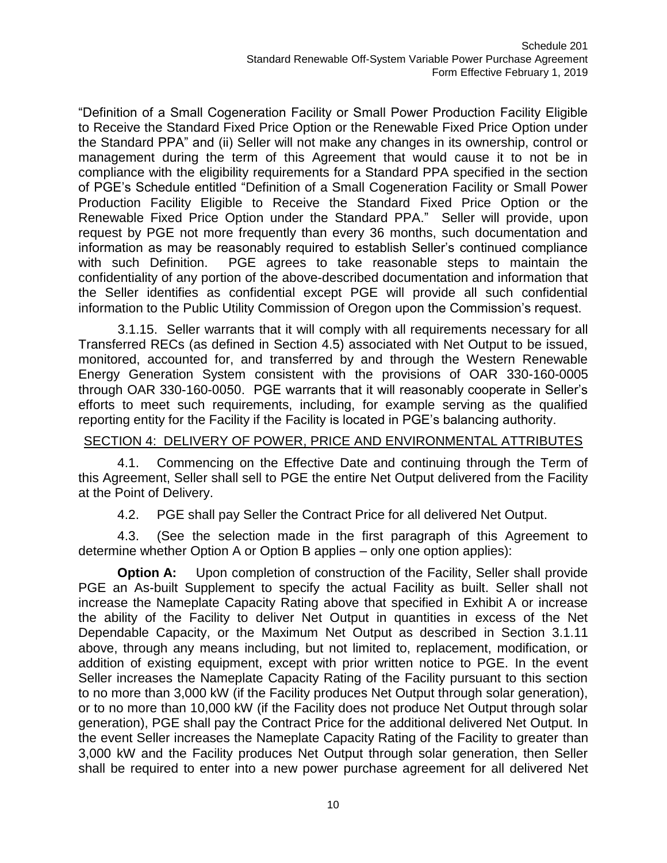"Definition of a Small Cogeneration Facility or Small Power Production Facility Eligible to Receive the Standard Fixed Price Option or the Renewable Fixed Price Option under the Standard PPA" and (ii) Seller will not make any changes in its ownership, control or management during the term of this Agreement that would cause it to not be in compliance with the eligibility requirements for a Standard PPA specified in the section of PGE's Schedule entitled "Definition of a Small Cogeneration Facility or Small Power Production Facility Eligible to Receive the Standard Fixed Price Option or the Renewable Fixed Price Option under the Standard PPA." Seller will provide, upon request by PGE not more frequently than every 36 months, such documentation and information as may be reasonably required to establish Seller's continued compliance with such Definition. PGE agrees to take reasonable steps to maintain the confidentiality of any portion of the above-described documentation and information that the Seller identifies as confidential except PGE will provide all such confidential information to the Public Utility Commission of Oregon upon the Commission's request.

3.1.15. Seller warrants that it will comply with all requirements necessary for all Transferred RECs (as defined in Section 4.5) associated with Net Output to be issued, monitored, accounted for, and transferred by and through the Western Renewable Energy Generation System consistent with the provisions of OAR 330-160-0005 through OAR 330-160-0050. PGE warrants that it will reasonably cooperate in Seller's efforts to meet such requirements, including, for example serving as the qualified reporting entity for the Facility if the Facility is located in PGE's balancing authority.

#### SECTION 4: DELIVERY OF POWER, PRICE AND ENVIRONMENTAL ATTRIBUTES

4.1. Commencing on the Effective Date and continuing through the Term of this Agreement, Seller shall sell to PGE the entire Net Output delivered from the Facility at the Point of Delivery.

4.2. PGE shall pay Seller the Contract Price for all delivered Net Output.

4.3. (See the selection made in the first paragraph of this Agreement to determine whether Option A or Option B applies – only one option applies):

**Option A:** Upon completion of construction of the Facility, Seller shall provide PGE an As-built Supplement to specify the actual Facility as built. Seller shall not increase the Nameplate Capacity Rating above that specified in Exhibit A or increase the ability of the Facility to deliver Net Output in quantities in excess of the Net Dependable Capacity, or the Maximum Net Output as described in Section 3.1.11 above, through any means including, but not limited to, replacement, modification, or addition of existing equipment, except with prior written notice to PGE. In the event Seller increases the Nameplate Capacity Rating of the Facility pursuant to this section to no more than 3,000 kW (if the Facility produces Net Output through solar generation), or to no more than 10,000 kW (if the Facility does not produce Net Output through solar generation), PGE shall pay the Contract Price for the additional delivered Net Output. In the event Seller increases the Nameplate Capacity Rating of the Facility to greater than 3,000 kW and the Facility produces Net Output through solar generation, then Seller shall be required to enter into a new power purchase agreement for all delivered Net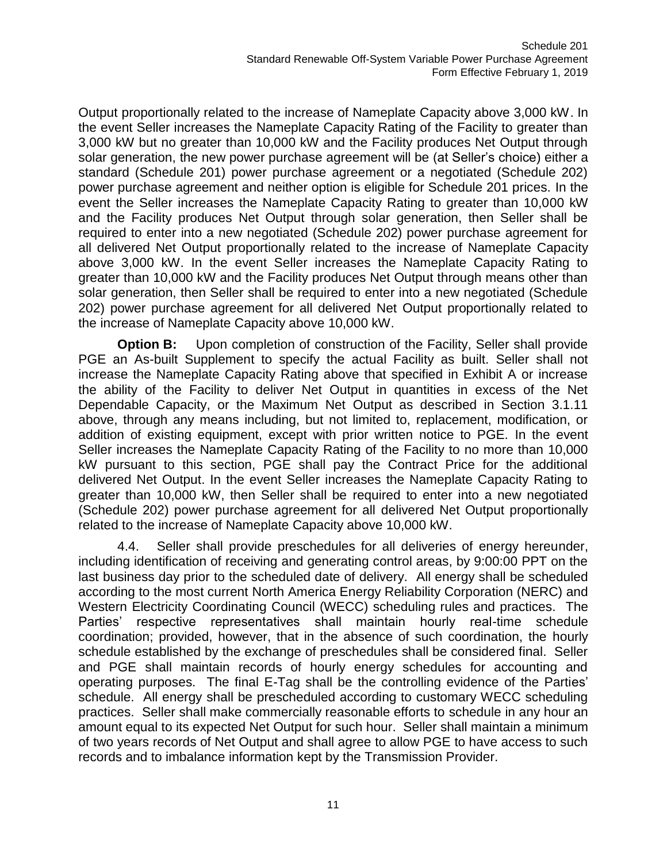Output proportionally related to the increase of Nameplate Capacity above 3,000 kW. In the event Seller increases the Nameplate Capacity Rating of the Facility to greater than 3,000 kW but no greater than 10,000 kW and the Facility produces Net Output through solar generation, the new power purchase agreement will be (at Seller's choice) either a standard (Schedule 201) power purchase agreement or a negotiated (Schedule 202) power purchase agreement and neither option is eligible for Schedule 201 prices. In the event the Seller increases the Nameplate Capacity Rating to greater than 10,000 kW and the Facility produces Net Output through solar generation, then Seller shall be required to enter into a new negotiated (Schedule 202) power purchase agreement for all delivered Net Output proportionally related to the increase of Nameplate Capacity above 3,000 kW. In the event Seller increases the Nameplate Capacity Rating to greater than 10,000 kW and the Facility produces Net Output through means other than solar generation, then Seller shall be required to enter into a new negotiated (Schedule 202) power purchase agreement for all delivered Net Output proportionally related to the increase of Nameplate Capacity above 10,000 kW.

**Option B:** Upon completion of construction of the Facility, Seller shall provide PGE an As-built Supplement to specify the actual Facility as built. Seller shall not increase the Nameplate Capacity Rating above that specified in Exhibit A or increase the ability of the Facility to deliver Net Output in quantities in excess of the Net Dependable Capacity, or the Maximum Net Output as described in Section 3.1.11 above, through any means including, but not limited to, replacement, modification, or addition of existing equipment, except with prior written notice to PGE. In the event Seller increases the Nameplate Capacity Rating of the Facility to no more than 10,000 kW pursuant to this section, PGE shall pay the Contract Price for the additional delivered Net Output. In the event Seller increases the Nameplate Capacity Rating to greater than 10,000 kW, then Seller shall be required to enter into a new negotiated (Schedule 202) power purchase agreement for all delivered Net Output proportionally related to the increase of Nameplate Capacity above 10,000 kW.

4.4. Seller shall provide preschedules for all deliveries of energy hereunder, including identification of receiving and generating control areas, by 9:00:00 PPT on the last business day prior to the scheduled date of delivery. All energy shall be scheduled according to the most current North America Energy Reliability Corporation (NERC) and Western Electricity Coordinating Council (WECC) scheduling rules and practices. The Parties' respective representatives shall maintain hourly real-time schedule coordination; provided, however, that in the absence of such coordination, the hourly schedule established by the exchange of preschedules shall be considered final. Seller and PGE shall maintain records of hourly energy schedules for accounting and operating purposes. The final E-Tag shall be the controlling evidence of the Parties' schedule. All energy shall be prescheduled according to customary WECC scheduling practices. Seller shall make commercially reasonable efforts to schedule in any hour an amount equal to its expected Net Output for such hour. Seller shall maintain a minimum of two years records of Net Output and shall agree to allow PGE to have access to such records and to imbalance information kept by the Transmission Provider.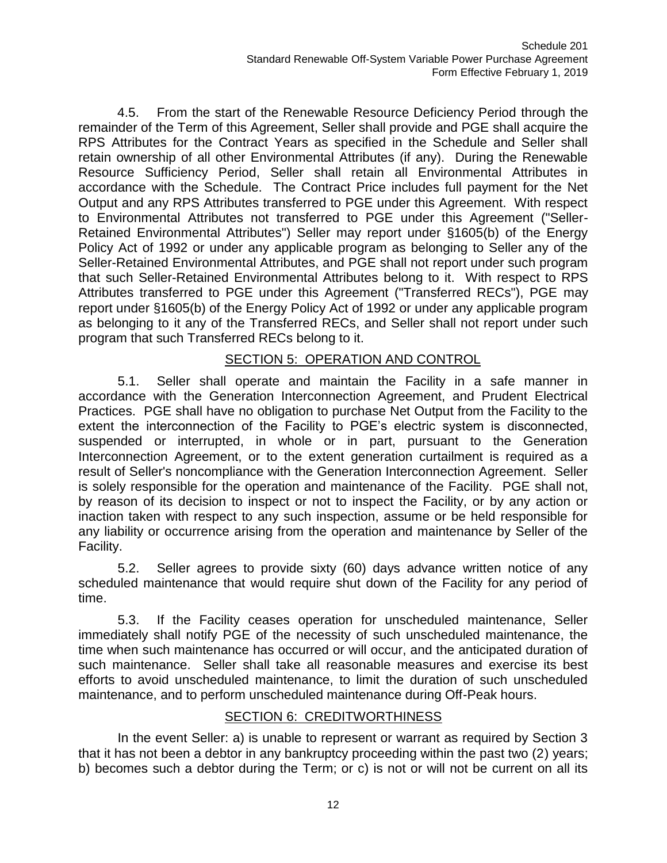4.5. From the start of the Renewable Resource Deficiency Period through the remainder of the Term of this Agreement, Seller shall provide and PGE shall acquire the RPS Attributes for the Contract Years as specified in the Schedule and Seller shall retain ownership of all other Environmental Attributes (if any). During the Renewable Resource Sufficiency Period, Seller shall retain all Environmental Attributes in accordance with the Schedule. The Contract Price includes full payment for the Net Output and any RPS Attributes transferred to PGE under this Agreement. With respect to Environmental Attributes not transferred to PGE under this Agreement ("Seller-Retained Environmental Attributes") Seller may report under §1605(b) of the Energy Policy Act of 1992 or under any applicable program as belonging to Seller any of the Seller-Retained Environmental Attributes, and PGE shall not report under such program that such Seller-Retained Environmental Attributes belong to it. With respect to RPS Attributes transferred to PGE under this Agreement ("Transferred RECs"), PGE may report under §1605(b) of the Energy Policy Act of 1992 or under any applicable program as belonging to it any of the Transferred RECs, and Seller shall not report under such program that such Transferred RECs belong to it.

# SECTION 5: OPERATION AND CONTROL

5.1. Seller shall operate and maintain the Facility in a safe manner in accordance with the Generation Interconnection Agreement, and Prudent Electrical Practices. PGE shall have no obligation to purchase Net Output from the Facility to the extent the interconnection of the Facility to PGE's electric system is disconnected, suspended or interrupted, in whole or in part, pursuant to the Generation Interconnection Agreement, or to the extent generation curtailment is required as a result of Seller's noncompliance with the Generation Interconnection Agreement. Seller is solely responsible for the operation and maintenance of the Facility. PGE shall not, by reason of its decision to inspect or not to inspect the Facility, or by any action or inaction taken with respect to any such inspection, assume or be held responsible for any liability or occurrence arising from the operation and maintenance by Seller of the Facility.

5.2. Seller agrees to provide sixty (60) days advance written notice of any scheduled maintenance that would require shut down of the Facility for any period of time.

5.3. If the Facility ceases operation for unscheduled maintenance, Seller immediately shall notify PGE of the necessity of such unscheduled maintenance, the time when such maintenance has occurred or will occur, and the anticipated duration of such maintenance. Seller shall take all reasonable measures and exercise its best efforts to avoid unscheduled maintenance, to limit the duration of such unscheduled maintenance, and to perform unscheduled maintenance during Off-Peak hours.

# SECTION 6: CREDITWORTHINESS

In the event Seller: a) is unable to represent or warrant as required by Section 3 that it has not been a debtor in any bankruptcy proceeding within the past two (2) years; b) becomes such a debtor during the Term; or c) is not or will not be current on all its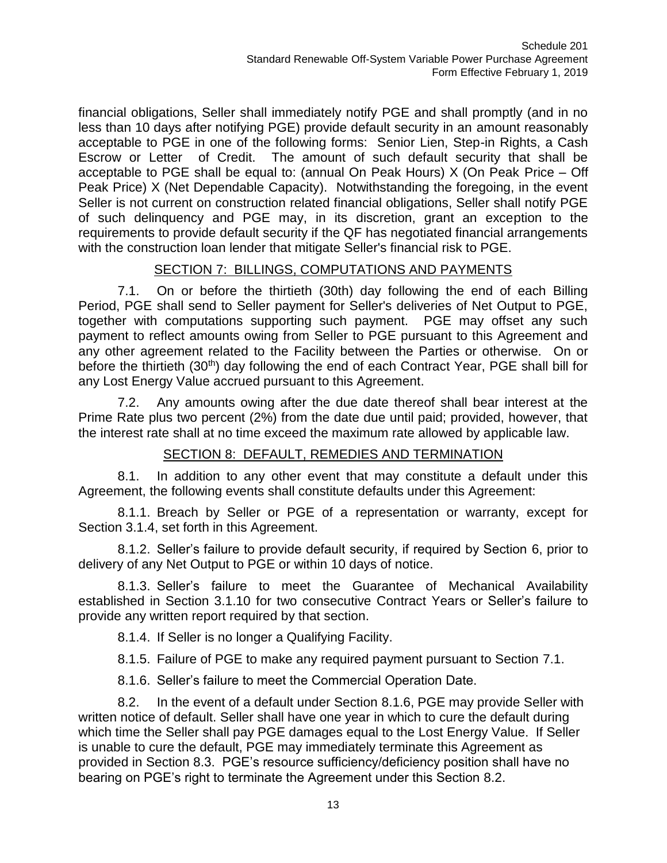financial obligations, Seller shall immediately notify PGE and shall promptly (and in no less than 10 days after notifying PGE) provide default security in an amount reasonably acceptable to PGE in one of the following forms: Senior Lien, Step-in Rights, a Cash Escrow or Letter of Credit. The amount of such default security that shall be acceptable to PGE shall be equal to: (annual On Peak Hours) X (On Peak Price – Off Peak Price) X (Net Dependable Capacity). Notwithstanding the foregoing, in the event Seller is not current on construction related financial obligations, Seller shall notify PGE of such delinquency and PGE may, in its discretion, grant an exception to the requirements to provide default security if the QF has negotiated financial arrangements with the construction loan lender that mitigate Seller's financial risk to PGE.

# SECTION 7: BILLINGS, COMPUTATIONS AND PAYMENTS

7.1. On or before the thirtieth (30th) day following the end of each Billing Period, PGE shall send to Seller payment for Seller's deliveries of Net Output to PGE, together with computations supporting such payment. PGE may offset any such payment to reflect amounts owing from Seller to PGE pursuant to this Agreement and any other agreement related to the Facility between the Parties or otherwise. On or before the thirtieth  $(30<sup>th</sup>)$  day following the end of each Contract Year, PGE shall bill for any Lost Energy Value accrued pursuant to this Agreement.

7.2. Any amounts owing after the due date thereof shall bear interest at the Prime Rate plus two percent (2%) from the date due until paid; provided, however, that the interest rate shall at no time exceed the maximum rate allowed by applicable law.

#### SECTION 8: DEFAULT, REMEDIES AND TERMINATION

8.1. In addition to any other event that may constitute a default under this Agreement, the following events shall constitute defaults under this Agreement:

8.1.1. Breach by Seller or PGE of a representation or warranty, except for Section 3.1.4, set forth in this Agreement.

8.1.2. Seller's failure to provide default security, if required by Section 6, prior to delivery of any Net Output to PGE or within 10 days of notice.

8.1.3. Seller's failure to meet the Guarantee of Mechanical Availability established in Section 3.1.10 for two consecutive Contract Years or Seller's failure to provide any written report required by that section.

8.1.4. If Seller is no longer a Qualifying Facility.

8.1.5. Failure of PGE to make any required payment pursuant to Section 7.1.

8.1.6. Seller's failure to meet the Commercial Operation Date.

8.2. In the event of a default under Section 8.1.6, PGE may provide Seller with written notice of default. Seller shall have one year in which to cure the default during which time the Seller shall pay PGE damages equal to the Lost Energy Value. If Seller is unable to cure the default, PGE may immediately terminate this Agreement as provided in Section 8.3. PGE's resource sufficiency/deficiency position shall have no bearing on PGE's right to terminate the Agreement under this Section 8.2.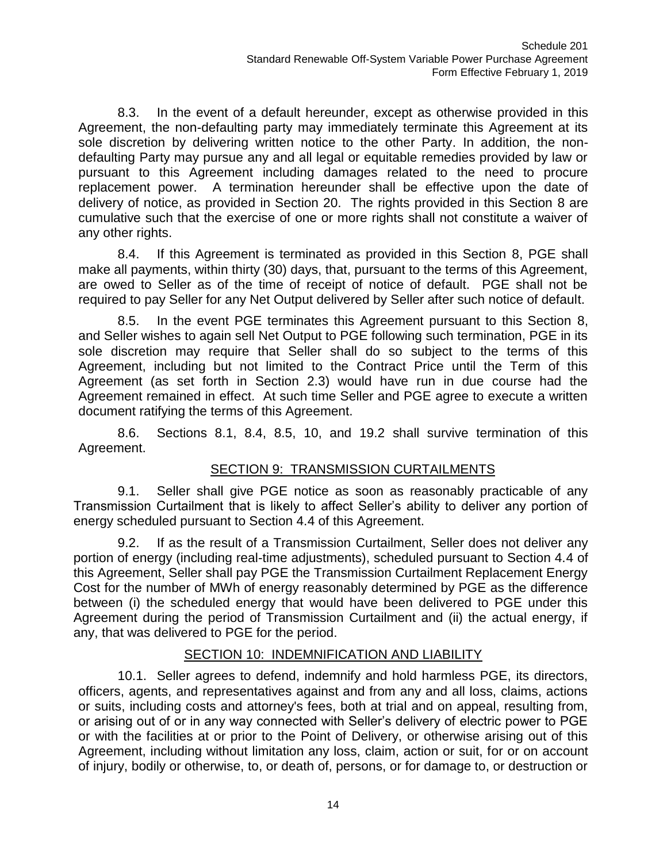8.3. In the event of a default hereunder, except as otherwise provided in this Agreement, the non-defaulting party may immediately terminate this Agreement at its sole discretion by delivering written notice to the other Party. In addition, the nondefaulting Party may pursue any and all legal or equitable remedies provided by law or pursuant to this Agreement including damages related to the need to procure replacement power. A termination hereunder shall be effective upon the date of delivery of notice, as provided in Section 20. The rights provided in this Section 8 are cumulative such that the exercise of one or more rights shall not constitute a waiver of any other rights.

8.4. If this Agreement is terminated as provided in this Section 8, PGE shall make all payments, within thirty (30) days, that, pursuant to the terms of this Agreement, are owed to Seller as of the time of receipt of notice of default. PGE shall not be required to pay Seller for any Net Output delivered by Seller after such notice of default.

8.5. In the event PGE terminates this Agreement pursuant to this Section 8, and Seller wishes to again sell Net Output to PGE following such termination, PGE in its sole discretion may require that Seller shall do so subject to the terms of this Agreement, including but not limited to the Contract Price until the Term of this Agreement (as set forth in Section 2.3) would have run in due course had the Agreement remained in effect. At such time Seller and PGE agree to execute a written document ratifying the terms of this Agreement.

8.6. Sections 8.1, 8.4, 8.5, 10, and 19.2 shall survive termination of this Agreement.

# SECTION 9: TRANSMISSION CURTAILMENTS

9.1. Seller shall give PGE notice as soon as reasonably practicable of any Transmission Curtailment that is likely to affect Seller's ability to deliver any portion of energy scheduled pursuant to Section 4.4 of this Agreement.

9.2. If as the result of a Transmission Curtailment, Seller does not deliver any portion of energy (including real-time adjustments), scheduled pursuant to Section 4.4 of this Agreement, Seller shall pay PGE the Transmission Curtailment Replacement Energy Cost for the number of MWh of energy reasonably determined by PGE as the difference between (i) the scheduled energy that would have been delivered to PGE under this Agreement during the period of Transmission Curtailment and (ii) the actual energy, if any, that was delivered to PGE for the period.

# SECTION 10: INDEMNIFICATION AND LIABILITY

10.1. Seller agrees to defend, indemnify and hold harmless PGE, its directors, officers, agents, and representatives against and from any and all loss, claims, actions or suits, including costs and attorney's fees, both at trial and on appeal, resulting from, or arising out of or in any way connected with Seller's delivery of electric power to PGE or with the facilities at or prior to the Point of Delivery, or otherwise arising out of this Agreement, including without limitation any loss, claim, action or suit, for or on account of injury, bodily or otherwise, to, or death of, persons, or for damage to, or destruction or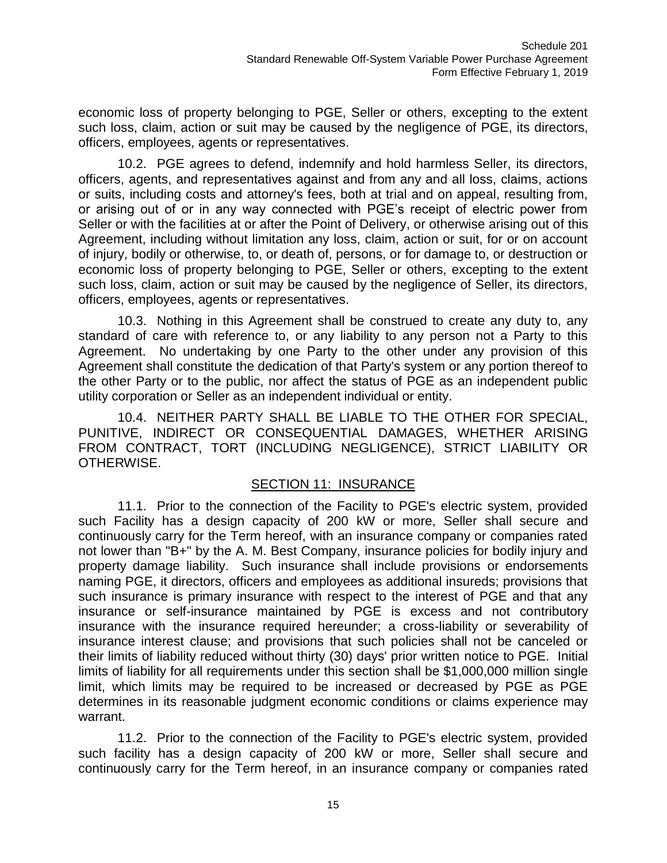economic loss of property belonging to PGE, Seller or others, excepting to the extent such loss, claim, action or suit may be caused by the negligence of PGE, its directors, officers, employees, agents or representatives.

10.2. PGE agrees to defend, indemnify and hold harmless Seller, its directors, officers, agents, and representatives against and from any and all loss, claims, actions or suits, including costs and attorney's fees, both at trial and on appeal, resulting from, or arising out of or in any way connected with PGE's receipt of electric power from Seller or with the facilities at or after the Point of Delivery, or otherwise arising out of this Agreement, including without limitation any loss, claim, action or suit, for or on account of injury, bodily or otherwise, to, or death of, persons, or for damage to, or destruction or economic loss of property belonging to PGE, Seller or others, excepting to the extent such loss, claim, action or suit may be caused by the negligence of Seller, its directors, officers, employees, agents or representatives.

10.3. Nothing in this Agreement shall be construed to create any duty to, any standard of care with reference to, or any liability to any person not a Party to this Agreement. No undertaking by one Party to the other under any provision of this Agreement shall constitute the dedication of that Party's system or any portion thereof to the other Party or to the public, nor affect the status of PGE as an independent public utility corporation or Seller as an independent individual or entity.

10.4. NEITHER PARTY SHALL BE LIABLE TO THE OTHER FOR SPECIAL, PUNITIVE, INDIRECT OR CONSEQUENTIAL DAMAGES, WHETHER ARISING FROM CONTRACT, TORT (INCLUDING NEGLIGENCE), STRICT LIABILITY OR OTHERWISE.

# SECTION 11: INSURANCE

11.1. Prior to the connection of the Facility to PGE's electric system, provided such Facility has a design capacity of 200 kW or more, Seller shall secure and continuously carry for the Term hereof, with an insurance company or companies rated not lower than "B+" by the A. M. Best Company, insurance policies for bodily injury and property damage liability. Such insurance shall include provisions or endorsements naming PGE, it directors, officers and employees as additional insureds; provisions that such insurance is primary insurance with respect to the interest of PGE and that any insurance or self-insurance maintained by PGE is excess and not contributory insurance with the insurance required hereunder; a cross-liability or severability of insurance interest clause; and provisions that such policies shall not be canceled or their limits of liability reduced without thirty (30) days' prior written notice to PGE. Initial limits of liability for all requirements under this section shall be \$1,000,000 million single limit, which limits may be required to be increased or decreased by PGE as PGE determines in its reasonable judgment economic conditions or claims experience may warrant.

11.2. Prior to the connection of the Facility to PGE's electric system, provided such facility has a design capacity of 200 kW or more, Seller shall secure and continuously carry for the Term hereof, in an insurance company or companies rated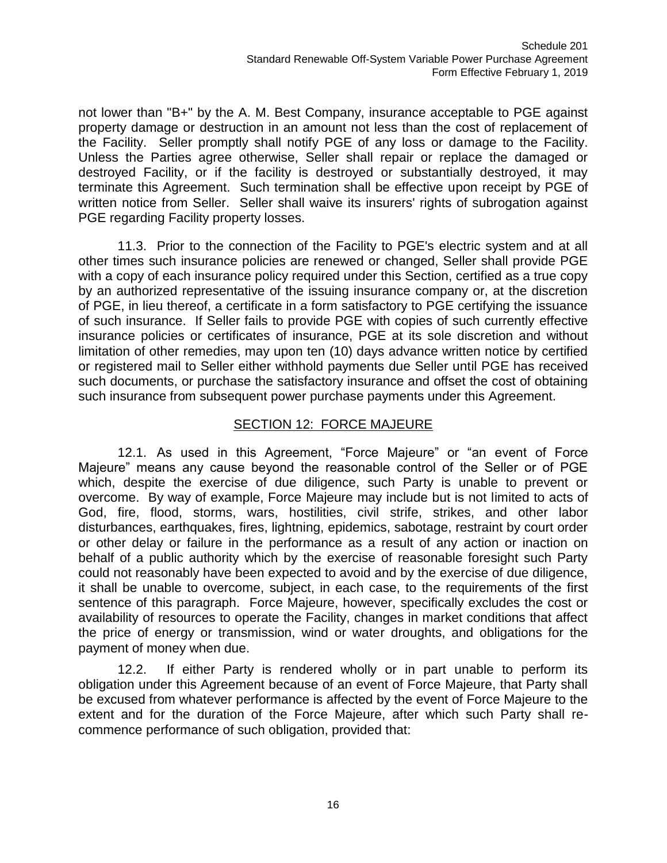not lower than "B+" by the A. M. Best Company, insurance acceptable to PGE against property damage or destruction in an amount not less than the cost of replacement of the Facility. Seller promptly shall notify PGE of any loss or damage to the Facility. Unless the Parties agree otherwise, Seller shall repair or replace the damaged or destroyed Facility, or if the facility is destroyed or substantially destroyed, it may terminate this Agreement. Such termination shall be effective upon receipt by PGE of written notice from Seller. Seller shall waive its insurers' rights of subrogation against PGE regarding Facility property losses.

11.3. Prior to the connection of the Facility to PGE's electric system and at all other times such insurance policies are renewed or changed, Seller shall provide PGE with a copy of each insurance policy required under this Section, certified as a true copy by an authorized representative of the issuing insurance company or, at the discretion of PGE, in lieu thereof, a certificate in a form satisfactory to PGE certifying the issuance of such insurance. If Seller fails to provide PGE with copies of such currently effective insurance policies or certificates of insurance, PGE at its sole discretion and without limitation of other remedies, may upon ten (10) days advance written notice by certified or registered mail to Seller either withhold payments due Seller until PGE has received such documents, or purchase the satisfactory insurance and offset the cost of obtaining such insurance from subsequent power purchase payments under this Agreement.

### SECTION 12: FORCE MAJEURE

12.1. As used in this Agreement, "Force Majeure" or "an event of Force Majeure" means any cause beyond the reasonable control of the Seller or of PGE which, despite the exercise of due diligence, such Party is unable to prevent or overcome. By way of example, Force Majeure may include but is not limited to acts of God, fire, flood, storms, wars, hostilities, civil strife, strikes, and other labor disturbances, earthquakes, fires, lightning, epidemics, sabotage, restraint by court order or other delay or failure in the performance as a result of any action or inaction on behalf of a public authority which by the exercise of reasonable foresight such Party could not reasonably have been expected to avoid and by the exercise of due diligence, it shall be unable to overcome, subject, in each case, to the requirements of the first sentence of this paragraph. Force Majeure, however, specifically excludes the cost or availability of resources to operate the Facility, changes in market conditions that affect the price of energy or transmission, wind or water droughts, and obligations for the payment of money when due.

12.2. If either Party is rendered wholly or in part unable to perform its obligation under this Agreement because of an event of Force Majeure, that Party shall be excused from whatever performance is affected by the event of Force Majeure to the extent and for the duration of the Force Majeure, after which such Party shall recommence performance of such obligation, provided that: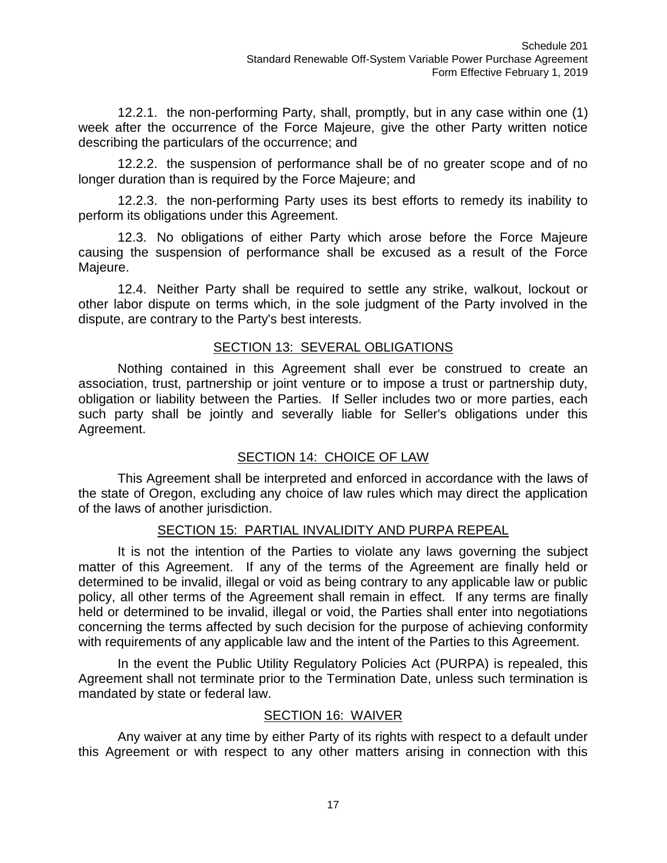12.2.1. the non-performing Party, shall, promptly, but in any case within one (1) week after the occurrence of the Force Majeure, give the other Party written notice describing the particulars of the occurrence; and

12.2.2. the suspension of performance shall be of no greater scope and of no longer duration than is required by the Force Majeure; and

12.2.3. the non-performing Party uses its best efforts to remedy its inability to perform its obligations under this Agreement.

12.3. No obligations of either Party which arose before the Force Majeure causing the suspension of performance shall be excused as a result of the Force Majeure.

12.4. Neither Party shall be required to settle any strike, walkout, lockout or other labor dispute on terms which, in the sole judgment of the Party involved in the dispute, are contrary to the Party's best interests.

#### SECTION 13: SEVERAL OBLIGATIONS

Nothing contained in this Agreement shall ever be construed to create an association, trust, partnership or joint venture or to impose a trust or partnership duty, obligation or liability between the Parties. If Seller includes two or more parties, each such party shall be jointly and severally liable for Seller's obligations under this Agreement.

# SECTION 14: CHOICE OF LAW

This Agreement shall be interpreted and enforced in accordance with the laws of the state of Oregon, excluding any choice of law rules which may direct the application of the laws of another jurisdiction.

# SECTION 15: PARTIAL INVALIDITY AND PURPA REPEAL

It is not the intention of the Parties to violate any laws governing the subject matter of this Agreement. If any of the terms of the Agreement are finally held or determined to be invalid, illegal or void as being contrary to any applicable law or public policy, all other terms of the Agreement shall remain in effect. If any terms are finally held or determined to be invalid, illegal or void, the Parties shall enter into negotiations concerning the terms affected by such decision for the purpose of achieving conformity with requirements of any applicable law and the intent of the Parties to this Agreement.

In the event the Public Utility Regulatory Policies Act (PURPA) is repealed, this Agreement shall not terminate prior to the Termination Date, unless such termination is mandated by state or federal law.

#### SECTION 16: WAIVER

Any waiver at any time by either Party of its rights with respect to a default under this Agreement or with respect to any other matters arising in connection with this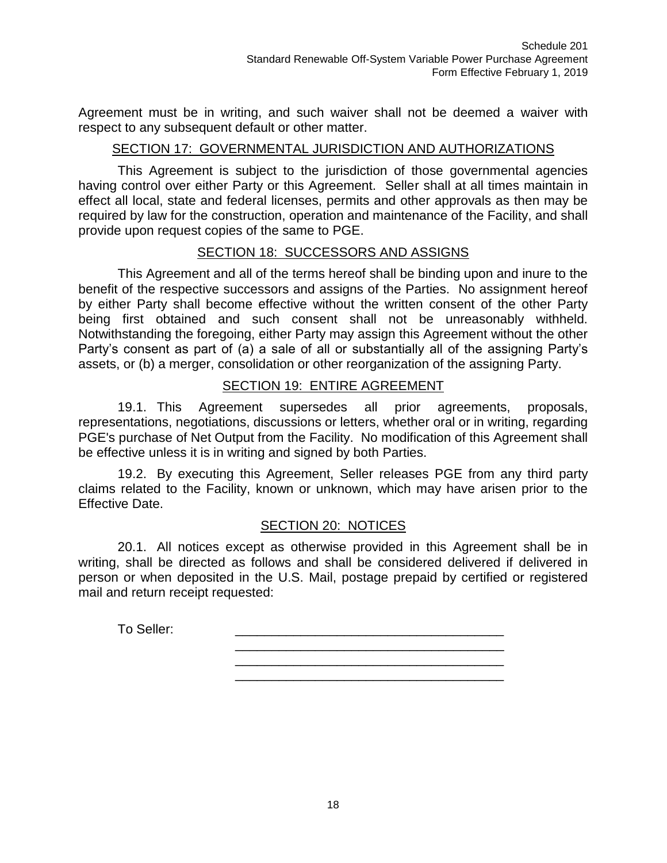Agreement must be in writing, and such waiver shall not be deemed a waiver with respect to any subsequent default or other matter.

#### SECTION 17: GOVERNMENTAL JURISDICTION AND AUTHORIZATIONS

This Agreement is subject to the jurisdiction of those governmental agencies having control over either Party or this Agreement. Seller shall at all times maintain in effect all local, state and federal licenses, permits and other approvals as then may be required by law for the construction, operation and maintenance of the Facility, and shall provide upon request copies of the same to PGE.

#### SECTION 18: SUCCESSORS AND ASSIGNS

This Agreement and all of the terms hereof shall be binding upon and inure to the benefit of the respective successors and assigns of the Parties. No assignment hereof by either Party shall become effective without the written consent of the other Party being first obtained and such consent shall not be unreasonably withheld. Notwithstanding the foregoing, either Party may assign this Agreement without the other Party's consent as part of (a) a sale of all or substantially all of the assigning Party's assets, or (b) a merger, consolidation or other reorganization of the assigning Party.

#### SECTION 19: ENTIRE AGREEMENT

19.1. This Agreement supersedes all prior agreements, proposals, representations, negotiations, discussions or letters, whether oral or in writing, regarding PGE's purchase of Net Output from the Facility. No modification of this Agreement shall be effective unless it is in writing and signed by both Parties.

19.2. By executing this Agreement, Seller releases PGE from any third party claims related to the Facility, known or unknown, which may have arisen prior to the Effective Date.

#### SECTION 20: NOTICES

20.1. All notices except as otherwise provided in this Agreement shall be in writing, shall be directed as follows and shall be considered delivered if delivered in person or when deposited in the U.S. Mail, postage prepaid by certified or registered mail and return receipt requested:

> \_\_\_\_\_\_\_\_\_\_\_\_\_\_\_\_\_\_\_\_\_\_\_\_\_\_\_\_\_\_\_\_\_\_\_\_\_ \_\_\_\_\_\_\_\_\_\_\_\_\_\_\_\_\_\_\_\_\_\_\_\_\_\_\_\_\_\_\_\_\_\_\_\_\_ \_\_\_\_\_\_\_\_\_\_\_\_\_\_\_\_\_\_\_\_\_\_\_\_\_\_\_\_\_\_\_\_\_\_\_\_\_

To Seller:

18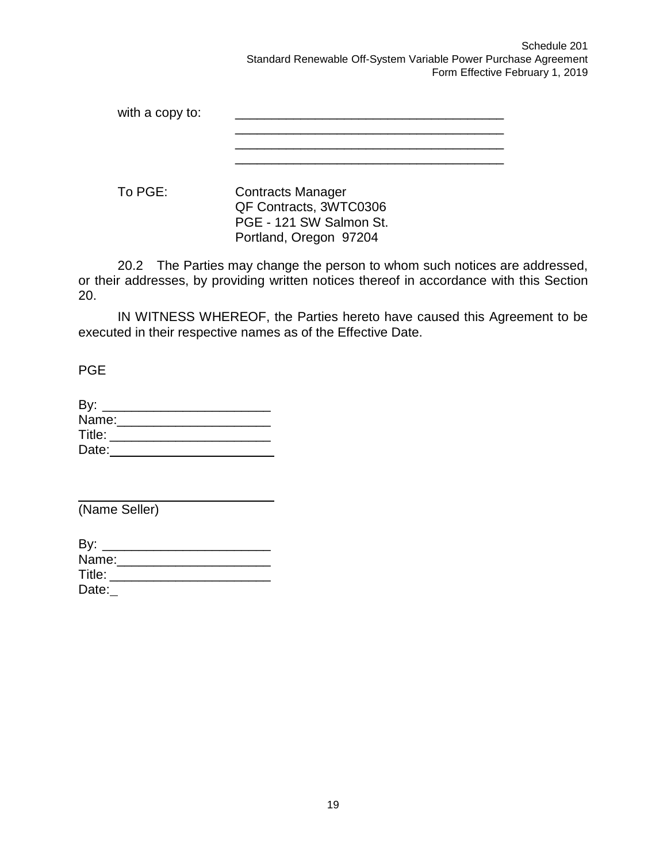Schedule 201 Standard Renewable Off-System Variable Power Purchase Agreement Form Effective February 1, 2019

| with a copy to: |                                                                               |
|-----------------|-------------------------------------------------------------------------------|
|                 |                                                                               |
|                 |                                                                               |
| To PGE:         | <b>Contracts Manager</b><br>QF Contracts, 3WTC0306<br>PGE - 121 SW Salmon St. |

Portland, Oregon 97204

20.2 The Parties may change the person to whom such notices are addressed, or their addresses, by providing written notices thereof in accordance with this Section 20.

IN WITNESS WHEREOF, the Parties hereto have caused this Agreement to be executed in their respective names as of the Effective Date.

PGE

| By:    |  |  |
|--------|--|--|
| Name:  |  |  |
| Title: |  |  |
| Date:  |  |  |

(Name Seller)

| By:    |  |  |  |
|--------|--|--|--|
| Name:  |  |  |  |
| Title: |  |  |  |
| Date:  |  |  |  |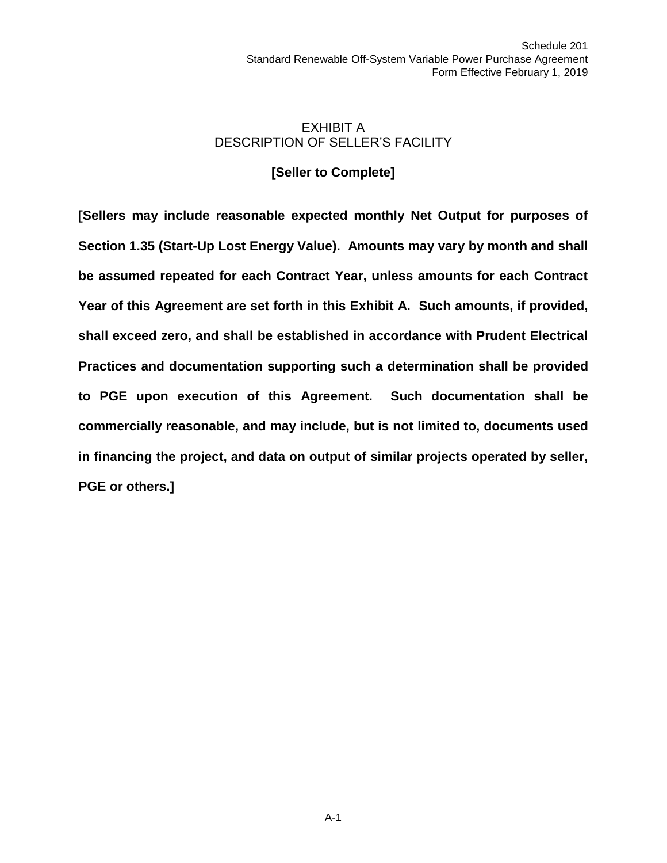### EXHIBIT A DESCRIPTION OF SELLER'S FACILITY

### **[Seller to Complete]**

**[Sellers may include reasonable expected monthly Net Output for purposes of Section 1.35 (Start-Up Lost Energy Value). Amounts may vary by month and shall be assumed repeated for each Contract Year, unless amounts for each Contract Year of this Agreement are set forth in this Exhibit A. Such amounts, if provided, shall exceed zero, and shall be established in accordance with Prudent Electrical Practices and documentation supporting such a determination shall be provided to PGE upon execution of this Agreement. Such documentation shall be commercially reasonable, and may include, but is not limited to, documents used in financing the project, and data on output of similar projects operated by seller, PGE or others.]**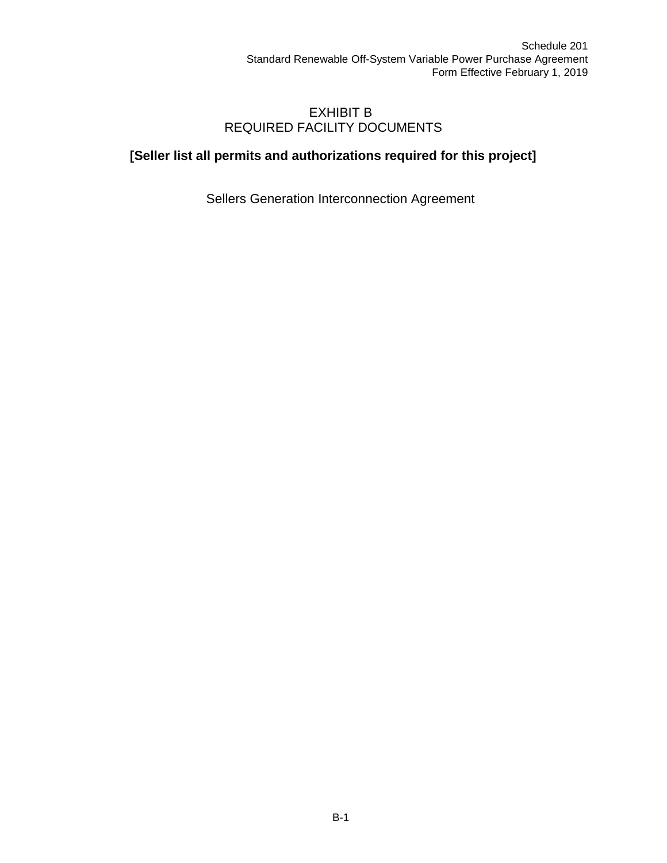### EXHIBIT B REQUIRED FACILITY DOCUMENTS

# **[Seller list all permits and authorizations required for this project]**

Sellers Generation Interconnection Agreement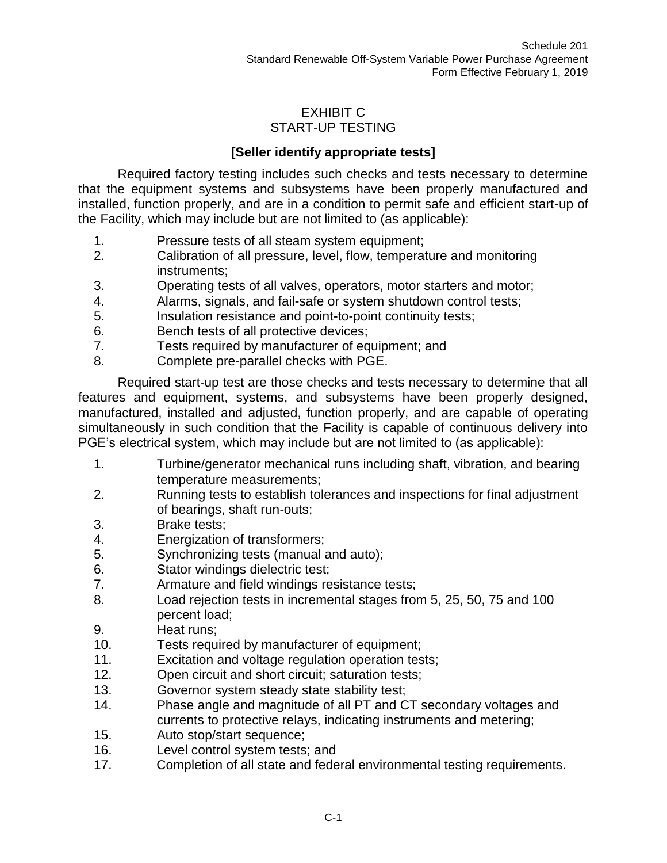# EXHIBIT C START-UP TESTING

# **[Seller identify appropriate tests]**

Required factory testing includes such checks and tests necessary to determine that the equipment systems and subsystems have been properly manufactured and installed, function properly, and are in a condition to permit safe and efficient start-up of the Facility, which may include but are not limited to (as applicable):

- 1. Pressure tests of all steam system equipment;
- 2. Calibration of all pressure, level, flow, temperature and monitoring instruments;
- 3. Operating tests of all valves, operators, motor starters and motor;
- 4. Alarms, signals, and fail-safe or system shutdown control tests;
- 5. Insulation resistance and point-to-point continuity tests;
- 6. Bench tests of all protective devices;
- 7. Tests required by manufacturer of equipment; and
- 8. Complete pre-parallel checks with PGE.

Required start-up test are those checks and tests necessary to determine that all features and equipment, systems, and subsystems have been properly designed, manufactured, installed and adjusted, function properly, and are capable of operating simultaneously in such condition that the Facility is capable of continuous delivery into PGE's electrical system, which may include but are not limited to (as applicable):

- 1. Turbine/generator mechanical runs including shaft, vibration, and bearing temperature measurements;
- 2. Running tests to establish tolerances and inspections for final adjustment of bearings, shaft run-outs;
- 3. Brake tests;
- 4. Energization of transformers;
- 5. Synchronizing tests (manual and auto);
- 6. Stator windings dielectric test;
- 7. Armature and field windings resistance tests;
- 8. Load rejection tests in incremental stages from 5, 25, 50, 75 and 100 percent load;
- 9. Heat runs;
- 10. Tests required by manufacturer of equipment;
- 11. Excitation and voltage regulation operation tests;
- 12. Open circuit and short circuit; saturation tests;
- 13. Governor system steady state stability test;
- 14. Phase angle and magnitude of all PT and CT secondary voltages and currents to protective relays, indicating instruments and metering;
- 15. Auto stop/start sequence;
- 16. Level control system tests; and
- 17. Completion of all state and federal environmental testing requirements.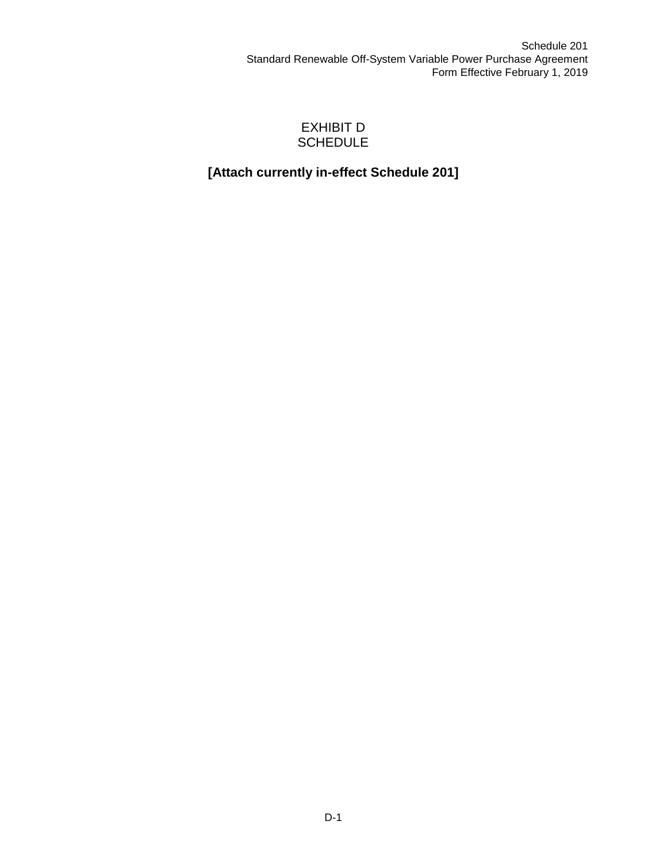### EXHIBIT D **SCHEDULE**

# **[Attach currently in-effect Schedule 201]**